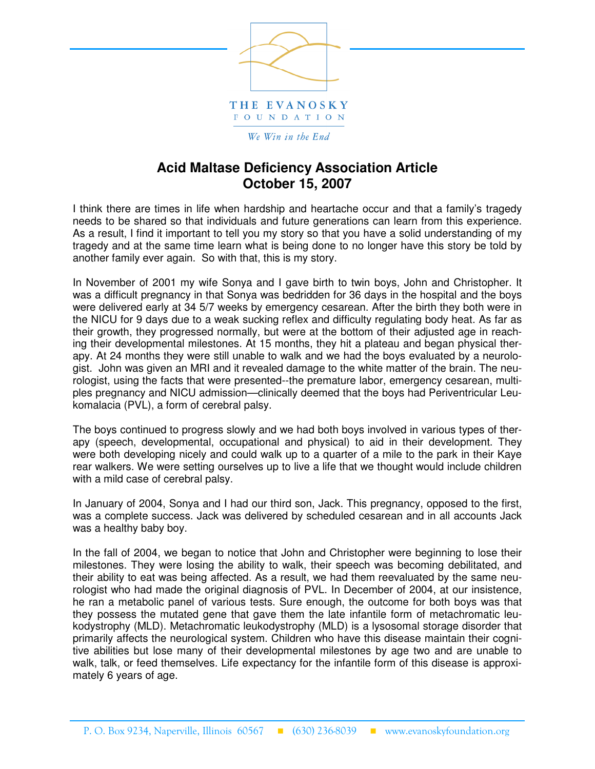

We Win in the End

## **Acid Maltase Deficiency Association Article October 15, 2007**

I think there are times in life when hardship and heartache occur and that a family's tragedy needs to be shared so that individuals and future generations can learn from this experience. As a result, I find it important to tell you my story so that you have a solid understanding of my tragedy and at the same time learn what is being done to no longer have this story be told by another family ever again. So with that, this is my story.

In November of 2001 my wife Sonya and I gave birth to twin boys, John and Christopher. It was a difficult pregnancy in that Sonya was bedridden for 36 days in the hospital and the boys were delivered early at 34 5/7 weeks by emergency cesarean. After the birth they both were in the NICU for 9 days due to a weak sucking reflex and difficulty regulating body heat. As far as their growth, they progressed normally, but were at the bottom of their adjusted age in reaching their developmental milestones. At 15 months, they hit a plateau and began physical therapy. At 24 months they were still unable to walk and we had the boys evaluated by a neurologist. John was given an MRI and it revealed damage to the white matter of the brain. The neurologist, using the facts that were presented--the premature labor, emergency cesarean, multiples pregnancy and NICU admission—clinically deemed that the boys had Periventricular Leukomalacia (PVL), a form of cerebral palsy.

The boys continued to progress slowly and we had both boys involved in various types of therapy (speech, developmental, occupational and physical) to aid in their development. They were both developing nicely and could walk up to a quarter of a mile to the park in their Kaye rear walkers. We were setting ourselves up to live a life that we thought would include children with a mild case of cerebral palsy.

In January of 2004, Sonya and I had our third son, Jack. This pregnancy, opposed to the first, was a complete success. Jack was delivered by scheduled cesarean and in all accounts Jack was a healthy baby boy.

In the fall of 2004, we began to notice that John and Christopher were beginning to lose their milestones. They were losing the ability to walk, their speech was becoming debilitated, and their ability to eat was being affected. As a result, we had them reevaluated by the same neurologist who had made the original diagnosis of PVL. In December of 2004, at our insistence, he ran a metabolic panel of various tests. Sure enough, the outcome for both boys was that they possess the mutated gene that gave them the late infantile form of metachromatic leukodystrophy (MLD). Metachromatic leukodystrophy (MLD) is a lysosomal storage disorder that primarily affects the neurological system. Children who have this disease maintain their cognitive abilities but lose many of their developmental milestones by age two and are unable to walk, talk, or feed themselves. Life expectancy for the infantile form of this disease is approximately 6 years of age.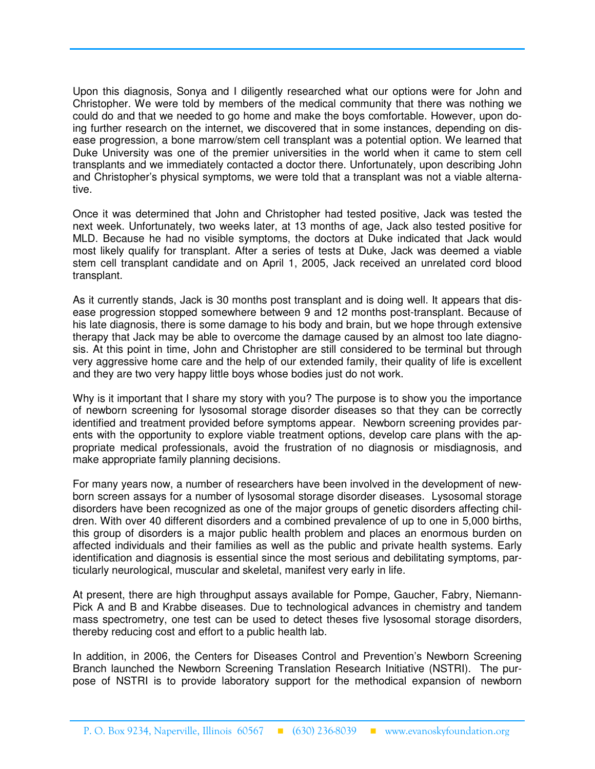Upon this diagnosis, Sonya and I diligently researched what our options were for John and Christopher. We were told by members of the medical community that there was nothing we could do and that we needed to go home and make the boys comfortable. However, upon doing further research on the internet, we discovered that in some instances, depending on disease progression, a bone marrow/stem cell transplant was a potential option. We learned that Duke University was one of the premier universities in the world when it came to stem cell transplants and we immediately contacted a doctor there. Unfortunately, upon describing John and Christopher's physical symptoms, we were told that a transplant was not a viable alternative.

Once it was determined that John and Christopher had tested positive, Jack was tested the next week. Unfortunately, two weeks later, at 13 months of age, Jack also tested positive for MLD. Because he had no visible symptoms, the doctors at Duke indicated that Jack would most likely qualify for transplant. After a series of tests at Duke, Jack was deemed a viable stem cell transplant candidate and on April 1, 2005, Jack received an unrelated cord blood transplant.

As it currently stands, Jack is 30 months post transplant and is doing well. It appears that disease progression stopped somewhere between 9 and 12 months post-transplant. Because of his late diagnosis, there is some damage to his body and brain, but we hope through extensive therapy that Jack may be able to overcome the damage caused by an almost too late diagnosis. At this point in time, John and Christopher are still considered to be terminal but through very aggressive home care and the help of our extended family, their quality of life is excellent and they are two very happy little boys whose bodies just do not work.

Why is it important that I share my story with you? The purpose is to show you the importance of newborn screening for lysosomal storage disorder diseases so that they can be correctly identified and treatment provided before symptoms appear. Newborn screening provides parents with the opportunity to explore viable treatment options, develop care plans with the appropriate medical professionals, avoid the frustration of no diagnosis or misdiagnosis, and make appropriate family planning decisions.

For many years now, a number of researchers have been involved in the development of newborn screen assays for a number of lysosomal storage disorder diseases. Lysosomal storage disorders have been recognized as one of the major groups of genetic disorders affecting children. With over 40 different disorders and a combined prevalence of up to one in 5,000 births, this group of disorders is a major public health problem and places an enormous burden on affected individuals and their families as well as the public and private health systems. Early identification and diagnosis is essential since the most serious and debilitating symptoms, particularly neurological, muscular and skeletal, manifest very early in life.

At present, there are high throughput assays available for Pompe, Gaucher, Fabry, Niemann-Pick A and B and Krabbe diseases. Due to technological advances in chemistry and tandem mass spectrometry, one test can be used to detect theses five lysosomal storage disorders, thereby reducing cost and effort to a public health lab.

In addition, in 2006, the Centers for Diseases Control and Prevention's Newborn Screening Branch launched the Newborn Screening Translation Research Initiative (NSTRI). The purpose of NSTRI is to provide laboratory support for the methodical expansion of newborn